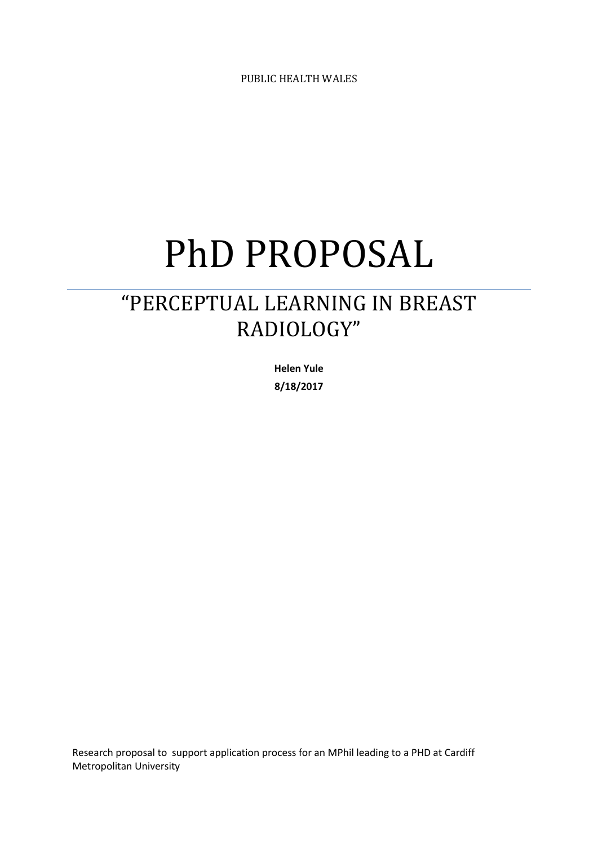PUBLIC HEALTH WALES

# PhD PROPOSAL

# "PERCEPTUAL LEARNING IN BREAST RADIOLOGY"

**Helen Yule 8/18/2017**

Research proposal to support application process for an MPhil leading to a PHD at Cardiff Metropolitan University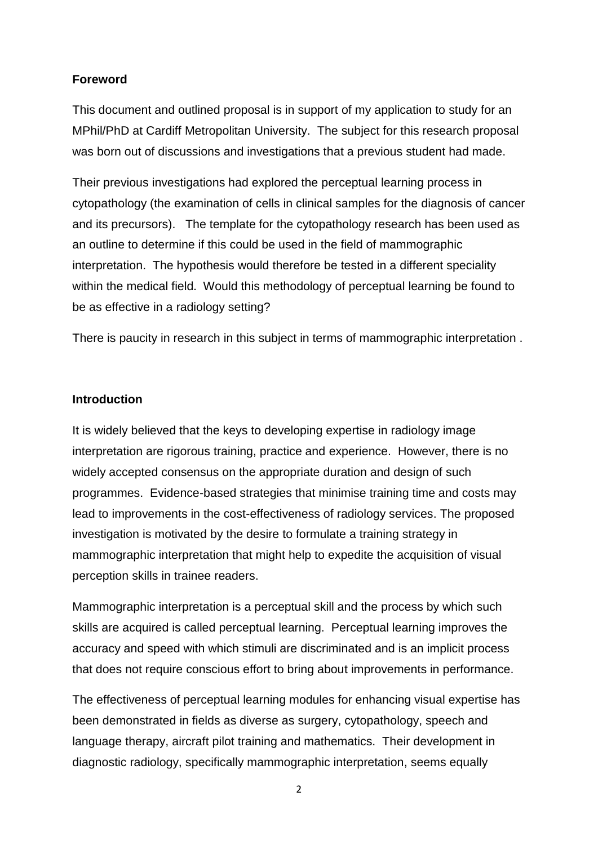## **Foreword**

This document and outlined proposal is in support of my application to study for an MPhil/PhD at Cardiff Metropolitan University. The subject for this research proposal was born out of discussions and investigations that a previous student had made.

Their previous investigations had explored the perceptual learning process in cytopathology (the examination of cells in clinical samples for the diagnosis of cancer and its precursors). The template for the cytopathology research has been used as an outline to determine if this could be used in the field of mammographic interpretation. The hypothesis would therefore be tested in a different speciality within the medical field. Would this methodology of perceptual learning be found to be as effective in a radiology setting?

There is paucity in research in this subject in terms of mammographic interpretation .

#### **Introduction**

It is widely believed that the keys to developing expertise in radiology image interpretation are rigorous training, practice and experience. However, there is no widely accepted consensus on the appropriate duration and design of such programmes. Evidence-based strategies that minimise training time and costs may lead to improvements in the cost-effectiveness of radiology services. The proposed investigation is motivated by the desire to formulate a training strategy in mammographic interpretation that might help to expedite the acquisition of visual perception skills in trainee readers.

Mammographic interpretation is a perceptual skill and the process by which such skills are acquired is called perceptual learning. Perceptual learning improves the accuracy and speed with which stimuli are discriminated and is an implicit process that does not require conscious effort to bring about improvements in performance.

The effectiveness of perceptual learning modules for enhancing visual expertise has been demonstrated in fields as diverse as surgery, cytopathology, speech and language therapy, aircraft pilot training and mathematics. Their development in diagnostic radiology, specifically mammographic interpretation, seems equally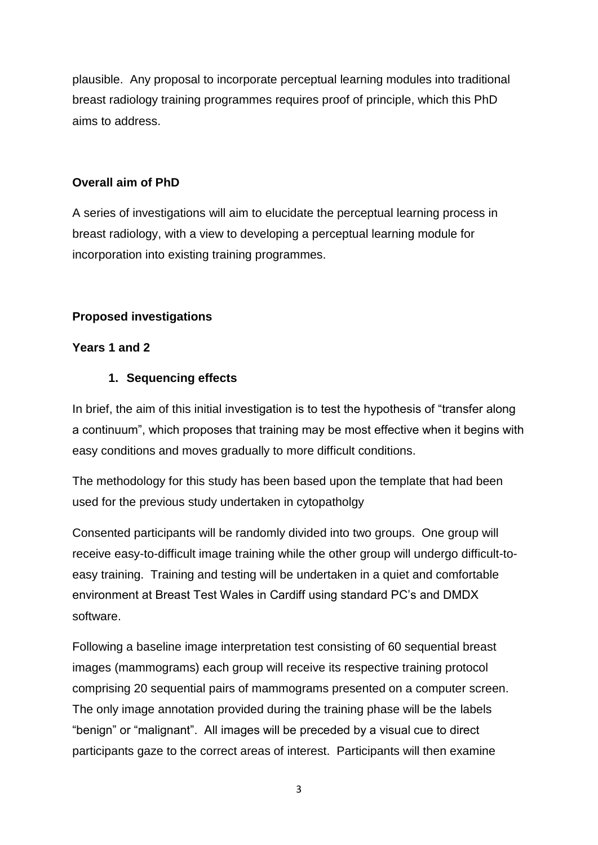plausible. Any proposal to incorporate perceptual learning modules into traditional breast radiology training programmes requires proof of principle, which this PhD aims to address.

# **Overall aim of PhD**

A series of investigations will aim to elucidate the perceptual learning process in breast radiology, with a view to developing a perceptual learning module for incorporation into existing training programmes.

# **Proposed investigations**

## **Years 1 and 2**

# **1. Sequencing effects**

In brief, the aim of this initial investigation is to test the hypothesis of "transfer along a continuum", which proposes that training may be most effective when it begins with easy conditions and moves gradually to more difficult conditions.

The methodology for this study has been based upon the template that had been used for the previous study undertaken in cytopatholgy

Consented participants will be randomly divided into two groups. One group will receive easy-to-difficult image training while the other group will undergo difficult-toeasy training. Training and testing will be undertaken in a quiet and comfortable environment at Breast Test Wales in Cardiff using standard PC's and DMDX software.

Following a baseline image interpretation test consisting of 60 sequential breast images (mammograms) each group will receive its respective training protocol comprising 20 sequential pairs of mammograms presented on a computer screen. The only image annotation provided during the training phase will be the labels "benign" or "malignant". All images will be preceded by a visual cue to direct participants gaze to the correct areas of interest. Participants will then examine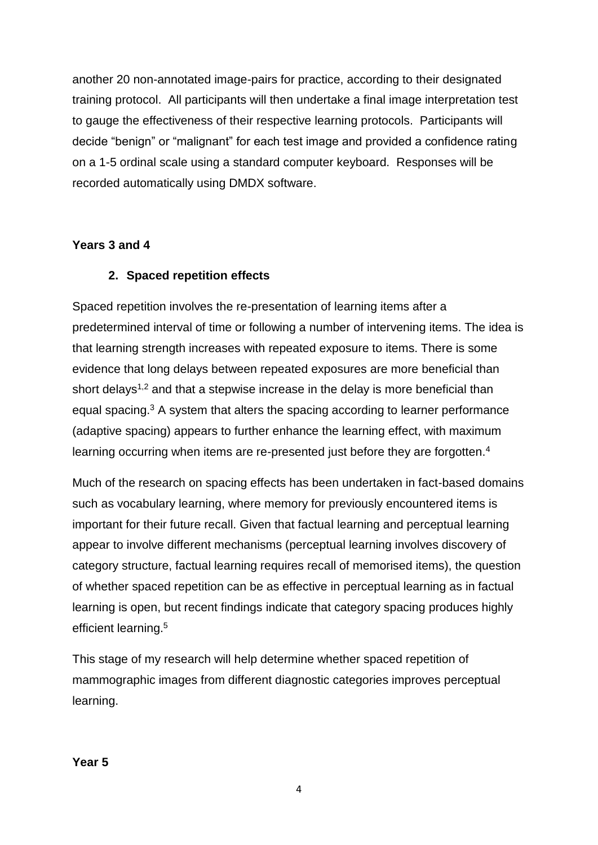another 20 non-annotated image-pairs for practice, according to their designated training protocol. All participants will then undertake a final image interpretation test to gauge the effectiveness of their respective learning protocols. Participants will decide "benign" or "malignant" for each test image and provided a confidence rating on a 1-5 ordinal scale using a standard computer keyboard. Responses will be recorded automatically using DMDX software.

#### **Years 3 and 4**

# **2. Spaced repetition effects**

Spaced repetition involves the re-presentation of learning items after a predetermined interval of time or following a number of intervening items. The idea is that learning strength increases with repeated exposure to items. There is some evidence that long delays between repeated exposures are more beneficial than short delays<sup>1,2</sup> and that a stepwise increase in the delay is more beneficial than equal spacing.<sup>3</sup> A system that alters the spacing according to learner performance (adaptive spacing) appears to further enhance the learning effect, with maximum learning occurring when items are re-presented just before they are forgotten.<sup>4</sup>

Much of the research on spacing effects has been undertaken in fact-based domains such as vocabulary learning, where memory for previously encountered items is important for their future recall. Given that factual learning and perceptual learning appear to involve different mechanisms (perceptual learning involves discovery of category structure, factual learning requires recall of memorised items), the question of whether spaced repetition can be as effective in perceptual learning as in factual learning is open, but recent findings indicate that category spacing produces highly efficient learning. 5

This stage of my research will help determine whether spaced repetition of mammographic images from different diagnostic categories improves perceptual learning.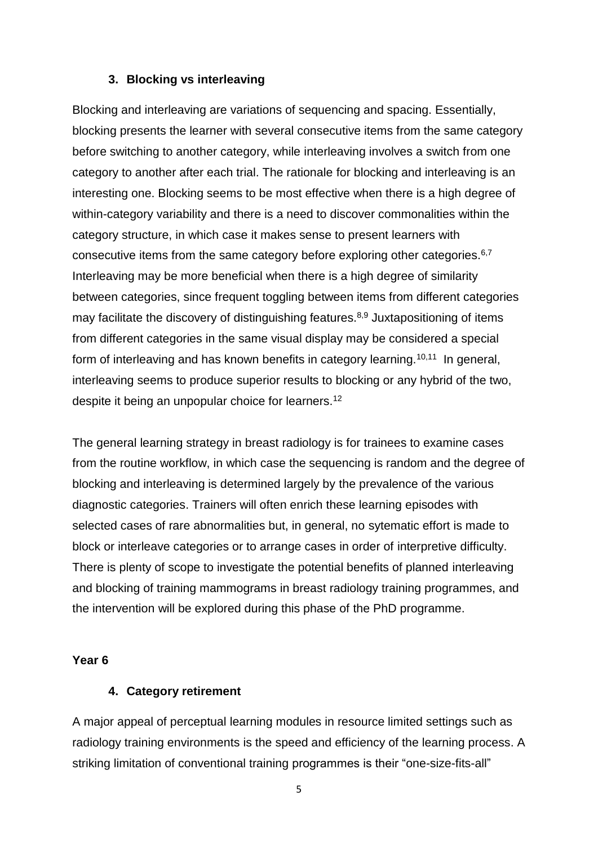#### **3. Blocking vs interleaving**

Blocking and interleaving are variations of sequencing and spacing. Essentially, blocking presents the learner with several consecutive items from the same category before switching to another category, while interleaving involves a switch from one category to another after each trial. The rationale for blocking and interleaving is an interesting one. Blocking seems to be most effective when there is a high degree of within-category variability and there is a need to discover commonalities within the category structure, in which case it makes sense to present learners with consecutive items from the same category before exploring other categories.<sup>6,7</sup> Interleaving may be more beneficial when there is a high degree of similarity between categories, since frequent toggling between items from different categories may facilitate the discovery of distinguishing features.<sup>8,9</sup> Juxtapositioning of items from different categories in the same visual display may be considered a special form of interleaving and has known benefits in category learning.<sup>10,11</sup> In general, interleaving seems to produce superior results to blocking or any hybrid of the two, despite it being an unpopular choice for learners.<sup>12</sup>

The general learning strategy in breast radiology is for trainees to examine cases from the routine workflow, in which case the sequencing is random and the degree of blocking and interleaving is determined largely by the prevalence of the various diagnostic categories. Trainers will often enrich these learning episodes with selected cases of rare abnormalities but, in general, no sytematic effort is made to block or interleave categories or to arrange cases in order of interpretive difficulty. There is plenty of scope to investigate the potential benefits of planned interleaving and blocking of training mammograms in breast radiology training programmes, and the intervention will be explored during this phase of the PhD programme.

#### **Year 6**

#### **4. Category retirement**

A major appeal of perceptual learning modules in resource limited settings such as radiology training environments is the speed and efficiency of the learning process. A striking limitation of conventional training programmes is their "one-size-fits-all"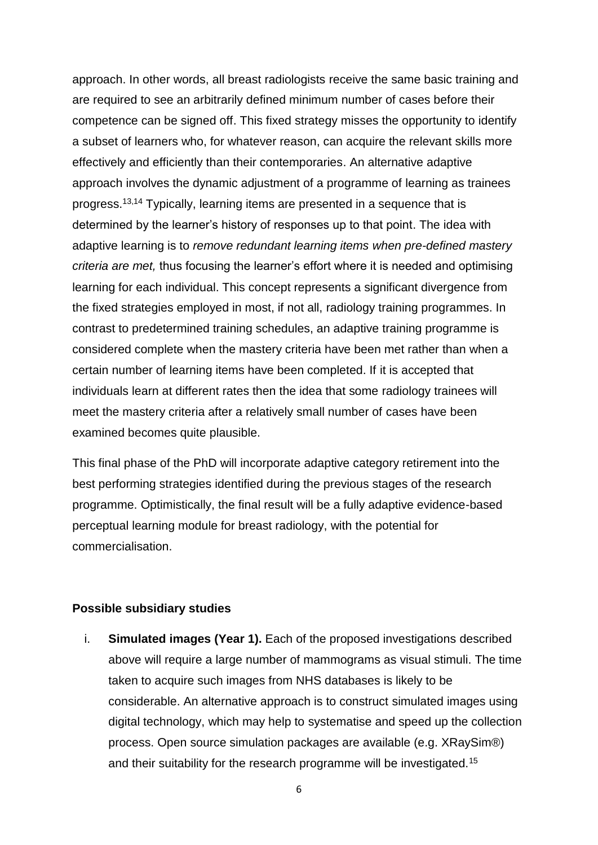approach. In other words, all breast radiologists receive the same basic training and are required to see an arbitrarily defined minimum number of cases before their competence can be signed off. This fixed strategy misses the opportunity to identify a subset of learners who, for whatever reason, can acquire the relevant skills more effectively and efficiently than their contemporaries. An alternative adaptive approach involves the dynamic adjustment of a programme of learning as trainees progress. 13,14 Typically, learning items are presented in a sequence that is determined by the learner's history of responses up to that point. The idea with adaptive learning is to *remove redundant learning items when pre-defined mastery criteria are met,* thus focusing the learner's effort where it is needed and optimising learning for each individual. This concept represents a significant divergence from the fixed strategies employed in most, if not all, radiology training programmes. In contrast to predetermined training schedules, an adaptive training programme is considered complete when the mastery criteria have been met rather than when a certain number of learning items have been completed. If it is accepted that individuals learn at different rates then the idea that some radiology trainees will meet the mastery criteria after a relatively small number of cases have been examined becomes quite plausible.

This final phase of the PhD will incorporate adaptive category retirement into the best performing strategies identified during the previous stages of the research programme. Optimistically, the final result will be a fully adaptive evidence-based perceptual learning module for breast radiology, with the potential for commercialisation.

#### **Possible subsidiary studies**

i. **Simulated images (Year 1).** Each of the proposed investigations described above will require a large number of mammograms as visual stimuli. The time taken to acquire such images from NHS databases is likely to be considerable. An alternative approach is to construct simulated images using digital technology, which may help to systematise and speed up the collection process. Open source simulation packages are available (e.g. XRaySim®) and their suitability for the research programme will be investigated.15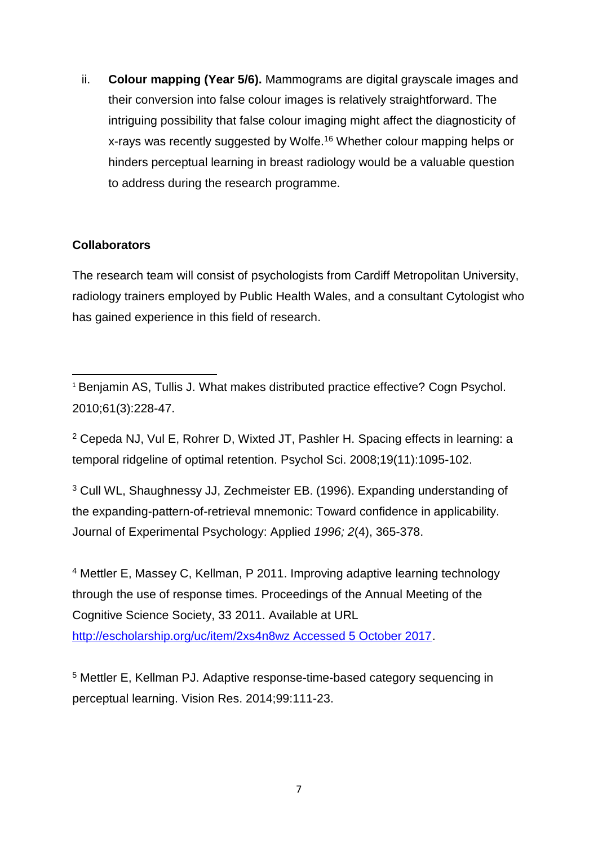ii. **Colour mapping (Year 5/6).** Mammograms are digital grayscale images and their conversion into false colour images is relatively straightforward. The intriguing possibility that false colour imaging might affect the diagnosticity of x-rays was recently suggested by Wolfe.<sup>16</sup> Whether colour mapping helps or hinders perceptual learning in breast radiology would be a valuable question to address during the research programme.

# **Collaborators**

The research team will consist of psychologists from Cardiff Metropolitan University, radiology trainers employed by Public Health Wales, and a consultant Cytologist who has gained experience in this field of research.

**.** <sup>1</sup> Benjamin AS, Tullis J. What makes distributed practice effective? Cogn Psychol. 2010;61(3):228-47.

<sup>2</sup> Cepeda NJ, [Vul E,](https://www.ncbi.nlm.nih.gov/pubmed/?term=Vul%20E%5BAuthor%5D&cauthor=true&cauthor_uid=19076480) Rohrer D, Wixted JT, Pashler H. Spacing effects in learning: a temporal ridgeline of optimal retention. Psychol Sci. 2008;19(11):1095-102.

<sup>3</sup> Cull WL, Shaughnessy JJ, Zechmeister EB. (1996). Expanding understanding of the expanding-pattern-of-retrieval mnemonic: Toward confidence in applicability. Journal of Experimental Psychology: Applied *1996; 2*(4), 365-378.

<sup>4</sup> Mettler E, Massey C, Kellman, P 2011. Improving adaptive learning technology through the use of response times. [Proceedings of the Annual Meeting of the](http://escholarship.org/uc/cognitivesciencesociety?volume=33;issue=33)  [Cognitive Science Society, 33](http://escholarship.org/uc/cognitivesciencesociety?volume=33;issue=33) 2011. Available at URL [http://escholarship.org/uc/item/2xs4n8wz Accessed 5 October 2017.](http://escholarship.org/uc/item/2xs4n8wz%20Accessed%205%20October%202017)

<sup>5</sup> Mettler E, Kellman PJ. Adaptive response-time-based category sequencing in perceptual learning. Vision Res. 2014;99:111-23.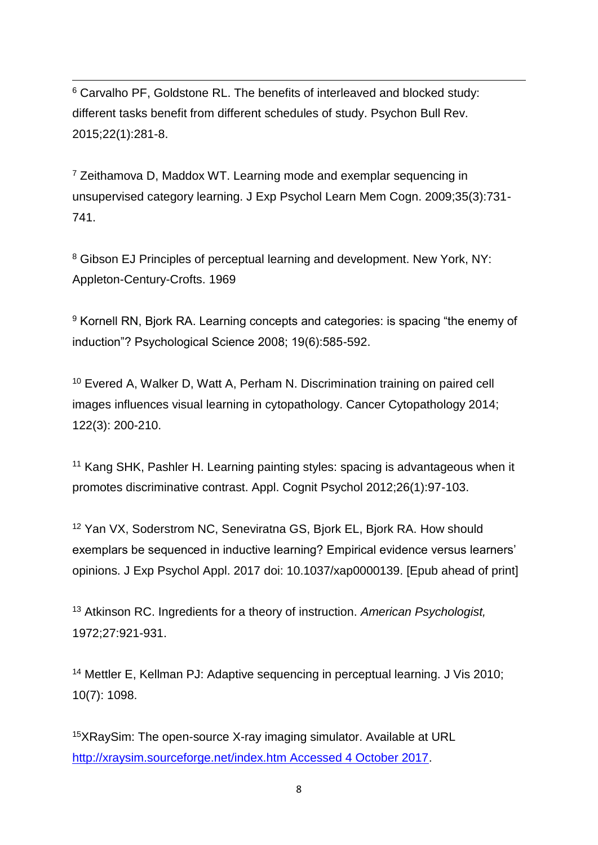**.** <sup>6</sup> Carvalho PF, Goldstone RL. The benefits of interleaved and blocked study: different tasks benefit from different schedules of study. Psychon Bull Rev. 2015;22(1):281-8.

 $7$  Zeithamova D, Maddox WT. Learning mode and exemplar sequencing in unsupervised category learning. J Exp Psychol Learn Mem Cogn. 2009;35(3):731- 741.

<sup>8</sup> Gibson EJ Principles of perceptual learning and development. New York, NY: Appleton-Century-Crofts. 1969

<sup>9</sup> Kornell RN, Bjork RA. Learning concepts and categories: is spacing "the enemy of induction"? Psychological Science 2008; 19(6):585-592.

<sup>10</sup> Evered A, Walker D, Watt A, Perham N. Discrimination training on paired cell images influences visual learning in cytopathology. Cancer Cytopathology 2014; 122(3): 200-210.

<sup>11</sup> Kang SHK, Pashler H. Learning painting styles: spacing is advantageous when it promotes discriminative contrast. Appl. Cognit Psychol 2012;26(1):97-103.

<sup>12</sup> Yan VX, Soderstrom NC, Seneviratna GS, Bjork EL, Bjork RA. How should exemplars be sequenced in inductive learning? Empirical evidence versus learners' opinions. J Exp Psychol Appl. 2017 doi: 10.1037/xap0000139. [Epub ahead of print]

<sup>13</sup> Atkinson RC. Ingredients for a theory of instruction. *American Psychologist,*  1972;27:921-931.

<sup>14</sup> Mettler E, Kellman PJ: Adaptive sequencing in perceptual learning. J Vis 2010; 10(7): 1098.

<sup>15</sup>XRaySim: The open-source X-ray imaging simulator. Available at URL [http://xraysim.sourceforge.net/index.htm Accessed 4 October 2017.](http://xraysim.sourceforge.net/index.htm%20Accessed%204%20October%202017)